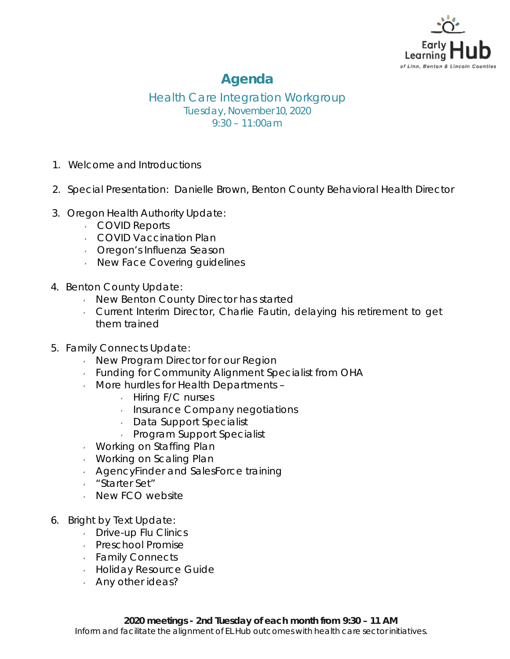

## **Agenda**

## Health Care Integration Workgroup Tuesday, November 10, 2020 9:30 – 11:00am

- 1. Welcome and Introductions
- 2. Special Presentation: Danielle Brown, Benton County Behavioral Health Director
- 3. Oregon Health Authority Update:
	- COVID Reports
	- COVID Vaccination Plan
	- Oregon's Influenza Season
	- **New Face Covering guidelines**
- 4. Benton County Update:
	- New Benton County Director has started
	- Current Interim Director, Charlie Fautin, delaying his retirement to get them trained
- 5. Family Connects Update:
	- **New Program Director for our Region**
	- Funding for Community Alignment Specialist from OHA
	- More hurdles for Health Departments
		- $\cdot$  Hiring F/C nurses
		- $\cdot$  Insurance Company negotiations
		- Data Support Specialist
		- **Program Support Specialist**
	- Working on Staffing Plan
	- Working on Scaling Plan
	- AgencyFinder and SalesForce training
	- "Starter Set"
	- New FCO website
- 6. Bright by Text Update:
	- Drive-up Flu Clinics
	- Preschool Promise
	- $\cdot$  Family Connects
	- Holiday Resource Guide
	- Any other ideas?